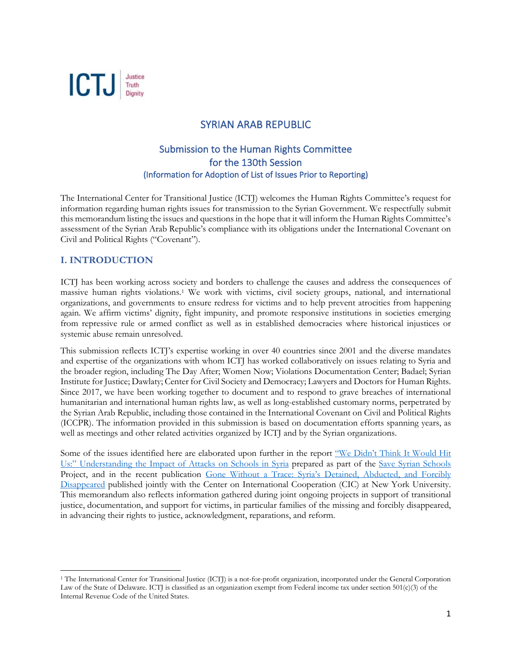

# SYRIAN ARAB REPUBLIC

# Submission to the Human Rights Committee for the 130th Session (Information for Adoption of List of Issues Prior to Reporting)

The International Center for Transitional Justice (ICTJ) welcomes the Human Rights Committee's request for information regarding human rights issues for transmission to the Syrian Government. We respectfully submit this memorandum listing the issues and questions in the hope that it will inform the Human Rights Committee's assessment of the Syrian Arab Republic's compliance with its obligations under the International Covenant on Civil and Political Rights ("Covenant").

## **I. INTRODUCTION**

ICTJ has been working across society and borders to challenge the causes and address the consequences of massive human rights violations.1 We work with victims, civil society groups, national, and international organizations, and governments to ensure redress for victims and to help prevent atrocities from happening again. We affirm victims' dignity, fight impunity, and promote responsive institutions in societies emerging from repressive rule or armed conflict as well as in established democracies where historical injustices or systemic abuse remain unresolved.

This submission reflects ICTJ's expertise working in over 40 countries since 2001 and the diverse mandates and expertise of the organizations with whom ICTJ has worked collaboratively on issues relating to Syria and the broader region, including The Day After; Women Now; Violations Documentation Center; Badael; Syrian Institute for Justice; Dawlaty; Center for Civil Society and Democracy; Lawyers and Doctors for Human Rights. Since 2017, we have been working together to document and to respond to grave breaches of international humanitarian and international human rights law, as well as long-established customary norms, perpetrated by the Syrian Arab Republic, including those contained in the International Covenant on Civil and Political Rights (ICCPR). The information provided in this submission is based on documentation efforts spanning years, as well as meetings and other related activities organized by ICTJ and by the Syrian organizations.

Some of the issues identified here are elaborated upon further in the report "We Didn't Think It Would Hit Us:" Understanding the Impact of Attacks on Schools in Syria prepared as part of the Save Syrian Schools Project, and in the recent publication Gone Without a Trace: Syria's Detained, Abducted, and Forcibly Disappeared published jointly with the Center on International Cooperation (CIC) at New York University. This memorandum also reflects information gathered during joint ongoing projects in support of transitional justice, documentation, and support for victims, in particular families of the missing and forcibly disappeared, in advancing their rights to justice, acknowledgment, reparations, and reform.

<sup>1</sup> The International Center for Transitional Justice (ICTJ) is a not-for-profit organization, incorporated under the General Corporation Law of the State of Delaware. ICTJ is classified as an organization exempt from Federal income tax under section 501(c)(3) of the Internal Revenue Code of the United States.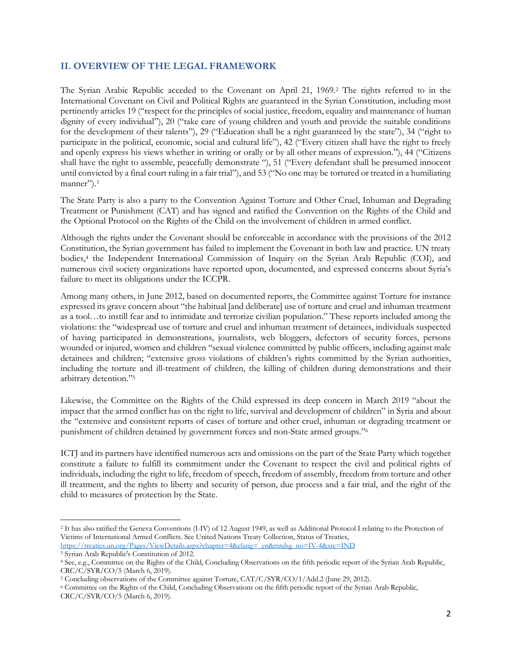## **II. OVERVIEW OF THE LEGAL FRAMEWORK**

The Syrian Arabic Republic acceded to the Covenant on April 21, 1969.2 The rights referred to in the International Covenant on Civil and Political Rights are guaranteed in the Syrian Constitution, including most pertinently articles 19 ("respect for the principles of social justice, freedom, equality and maintenance of human dignity of every individual"), 20 ("take care of young children and youth and provide the suitable conditions for the development of their talents"), 29 ("Education shall be a right guaranteed by the state"), 34 ("right to participate in the political, economic, social and cultural life"), 42 ("Every citizen shall have the right to freely and openly express his views whether in writing or orally or by all other means of expression."), 44 ("Citizens shall have the right to assemble, peacefully demonstrate "), 51 ("Every defendant shall be presumed innocent until convicted by a final court ruling in a fair trial"), and 53 ("No one may be tortured or treated in a humiliating manner").<sup>3</sup>

The State Party is also a party to the Convention Against Torture and Other Cruel, Inhuman and Degrading Treatment or Punishment (CAT) and has signed and ratified the Convention on the Rights of the Child and the Optional Protocol on the Rights of the Child on the involvement of children in armed conflict.

Although the rights under the Covenant should be enforceable in accordance with the provisions of the 2012 Constitution, the Syrian government has failed to implement the Covenant in both law and practice. UN treaty bodies,<sup>4</sup> the Independent International Commission of Inquiry on the Syrian Arab Republic (COI), and numerous civil society organizations have reported upon, documented, and expressed concerns about Syria's failure to meet its obligations under the ICCPR.

Among many others, in June 2012, based on documented reports, the Committee against Torture for instance expressed its grave concern about "the habitual [and deliberate] use of torture and cruel and inhuman treatment as a tool…to instill fear and to intimidate and terrorize civilian population." These reports included among the violations: the "widespread use of torture and cruel and inhuman treatment of detainees, individuals suspected of having participated in demonstrations, journalists, web bloggers, defectors of security forces, persons wounded or injured, women and children "sexual violence committed by public officers, including against male detainees and children; "extensive gross violations of children's rights committed by the Syrian authorities, including the torture and ill-treatment of children, the killing of children during demonstrations and their arbitrary detention."5

Likewise, the Committee on the Rights of the Child expressed its deep concern in March 2019 "about the impact that the armed conflict has on the right to life, survival and development of children" in Syria and about the "extensive and consistent reports of cases of torture and other cruel, inhuman or degrading treatment or punishment of children detained by government forces and non-State armed groups."6

ICTJ and its partners have identified numerous acts and omissions on the part of the State Party which together constitute a failure to fulfill its commitment under the Covenant to respect the civil and political rights of individuals, including the right to life, freedom of speech, freedom of assembly, freedom from torture and other ill treatment, and the rights to liberty and security of person, due process and a fair trial, and the right of the child to measures of protection by the State.

<sup>2</sup> It has also ratified the Geneva Conventions (I-IV) of 12 August 1949, as well as Additional Protocol I relating to the Protection of Victims of International Armed Conflicts. See United Nations Treaty Collection, Status of Treaties, https://treaties.un.org/Pages/ViewDetails.aspx?chapter=4&clang=\_en&mtdsg\_no=IV-4&src=IND

<sup>3</sup> Syrian Arab Republic's Constitution of 2012.

<sup>4</sup> See, e.g., Committee on the Rights of the Child, Concluding Observations on the fifth periodic report of the Syrian Arab Republic, CRC/C/SYR/CO/5 (March 6, 2019).

<sup>&</sup>lt;sup>5</sup> Concluding observations of the Committee against Torture, CAT/C/SYR/CO/1/Add.2 (June 29, 2012).

<sup>6</sup> Committee on the Rights of the Child, Concluding Observations on the fifth periodic report of the Syrian Arab Republic, CRC/C/SYR/CO/5 (March 6, 2019).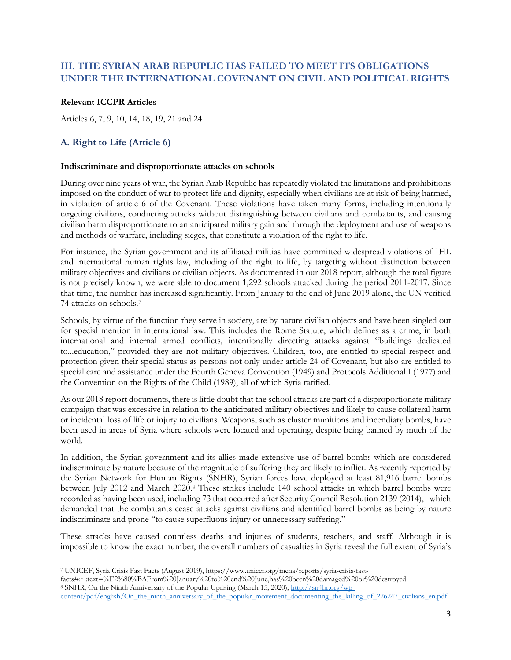## **III. THE SYRIAN ARAB REPUPLIC HAS FAILED TO MEET ITS OBLIGATIONS UNDER THE INTERNATIONAL COVENANT ON CIVIL AND POLITICAL RIGHTS**

## **Relevant ICCPR Articles**

Articles 6, 7, 9, 10, 14, 18, 19, 21 and 24

## **A. Right to Life (Article 6)**

#### **Indiscriminate and disproportionate attacks on schools**

During over nine years of war, the Syrian Arab Republic has repeatedly violated the limitations and prohibitions imposed on the conduct of war to protect life and dignity, especially when civilians are at risk of being harmed, in violation of article 6 of the Covenant. These violations have taken many forms, including intentionally targeting civilians, conducting attacks without distinguishing between civilians and combatants, and causing civilian harm disproportionate to an anticipated military gain and through the deployment and use of weapons and methods of warfare, including sieges, that constitute a violation of the right to life.

For instance, the Syrian government and its affiliated militias have committed widespread violations of IHL and international human rights law, including of the right to life, by targeting without distinction between military objectives and civilians or civilian objects. As documented in our 2018 report, although the total figure is not precisely known, we were able to document 1,292 schools attacked during the period 2011-2017. Since that time, the number has increased significantly. From January to the end of June 2019 alone, the UN verified 74 attacks on schools.7

Schools, by virtue of the function they serve in society, are by nature civilian objects and have been singled out for special mention in international law. This includes the Rome Statute, which defines as a crime, in both international and internal armed conflicts, intentionally directing attacks against "buildings dedicated to...education," provided they are not military objectives. Children, too, are entitled to special respect and protection given their special status as persons not only under article 24 of Covenant, but also are entitled to special care and assistance under the Fourth Geneva Convention (1949) and Protocols Additional I (1977) and the Convention on the Rights of the Child (1989), all of which Syria ratified.

As our 2018 report documents, there is little doubt that the school attacks are part of a disproportionate military campaign that was excessive in relation to the anticipated military objectives and likely to cause collateral harm or incidental loss of life or injury to civilians. Weapons, such as cluster munitions and incendiary bombs, have been used in areas of Syria where schools were located and operating, despite being banned by much of the world.

In addition, the Syrian government and its allies made extensive use of barrel bombs which are considered indiscriminate by nature because of the magnitude of suffering they are likely to inflict. As recently reported by the Syrian Network for Human Rights (SNHR), Syrian forces have deployed at least 81,916 barrel bombs between July 2012 and March 2020.8 These strikes include 140 school attacks in which barrel bombs were recorded as having been used, including 73 that occurred after Security Council Resolution 2139 (2014), which demanded that the combatants cease attacks against civilians and identified barrel bombs as being by nature indiscriminate and prone "to cause superfluous injury or unnecessary suffering."

These attacks have caused countless deaths and injuries of students, teachers, and staff. Although it is impossible to know the exact number, the overall numbers of casualties in Syria reveal the full extent of Syria's

<sup>7</sup> UNICEF, Syria Crisis Fast Facts (August 2019), https://www.unicef.org/mena/reports/syria-crisis-fast-

facts#:~:text=%E2%80%BAFrom%20January%20to%20end%20June,has%20been%20damaged%20or%20destroyed <sup>8</sup> SNHR, On the Ninth Anniversary of the Popular Uprising (March 15, 2020), http://sn4hr.org/wpcontent/pdf/english/On\_the\_ninth\_anniversary\_of\_the\_popular\_movement\_documenting\_the\_killing\_of\_226247\_civilians\_en.pdf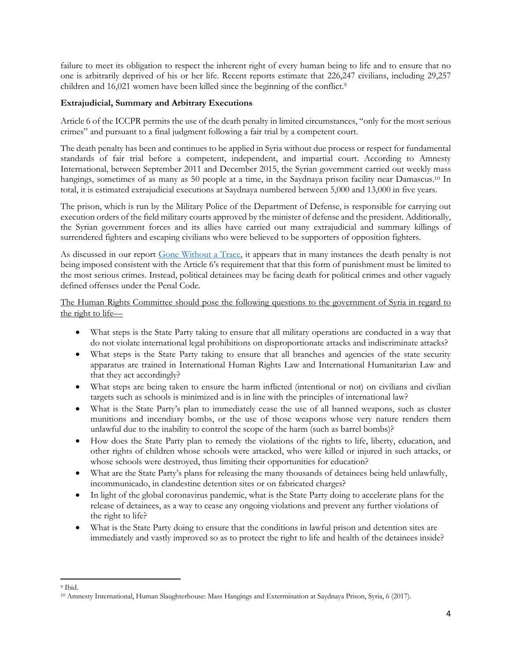failure to meet its obligation to respect the inherent right of every human being to life and to ensure that no one is arbitrarily deprived of his or her life. Recent reports estimate that 226,247 civilians, including 29,257 children and 16,021 women have been killed since the beginning of the conflict.<sup>9</sup>

## **Extrajudicial, Summary and Arbitrary Executions**

Article 6 of the ICCPR permits the use of the death penalty in limited circumstances, "only for the most serious crimes" and pursuant to a final judgment following a fair trial by a competent court.

The death penalty has been and continues to be applied in Syria without due process or respect for fundamental standards of fair trial before a competent, independent, and impartial court. According to Amnesty International, between September 2011 and December 2015, the Syrian government carried out weekly mass hangings, sometimes of as many as 50 people at a time, in the Saydnaya prison facility near Damascus.<sup>10</sup> In total, it is estimated extrajudicial executions at Saydnaya numbered between 5,000 and 13,000 in five years.

The prison, which is run by the Military Police of the Department of Defense, is responsible for carrying out execution orders of the field military courts approved by the minister of defense and the president. Additionally, the Syrian government forces and its allies have carried out many extrajudicial and summary killings of surrendered fighters and escaping civilians who were believed to be supporters of opposition fighters.

As discussed in our report Gone Without a Trace, it appears that in many instances the death penalty is not being imposed consistent with the Article 6's requirement that that this form of punishment must be limited to the most serious crimes. Instead, political detainees may be facing death for political crimes and other vaguely defined offenses under the Penal Code.

The Human Rights Committee should pose the following questions to the government of Syria in regard to the right to life—

- What steps is the State Party taking to ensure that all military operations are conducted in a way that do not violate international legal prohibitions on disproportionate attacks and indiscriminate attacks?
- What steps is the State Party taking to ensure that all branches and agencies of the state security apparatus are trained in International Human Rights Law and International Humanitarian Law and that they act accordingly?
- What steps are being taken to ensure the harm inflicted (intentional or not) on civilians and civilian targets such as schools is minimized and is in line with the principles of international law?
- What is the State Party's plan to immediately cease the use of all banned weapons, such as cluster munitions and incendiary bombs, or the use of those weapons whose very nature renders them unlawful due to the inability to control the scope of the harm (such as barrel bombs)?
- How does the State Party plan to remedy the violations of the rights to life, liberty, education, and other rights of children whose schools were attacked, who were killed or injured in such attacks, or whose schools were destroyed, thus limiting their opportunities for education?
- What are the State Party's plans for releasing the many thousands of detainees being held unlawfully, incommunicado, in clandestine detention sites or on fabricated charges?
- In light of the global coronavirus pandemic, what is the State Party doing to accelerate plans for the release of detainees, as a way to cease any ongoing violations and prevent any further violations of the right to life?
- What is the State Party doing to ensure that the conditions in lawful prison and detention sites are immediately and vastly improved so as to protect the right to life and health of the detainees inside?

<sup>9</sup> Ibid.

<sup>10</sup> Amnesty International, Human Slaughterhouse: Mass Hangings and Extermination at Saydnaya Prison, Syria, 6 (2017).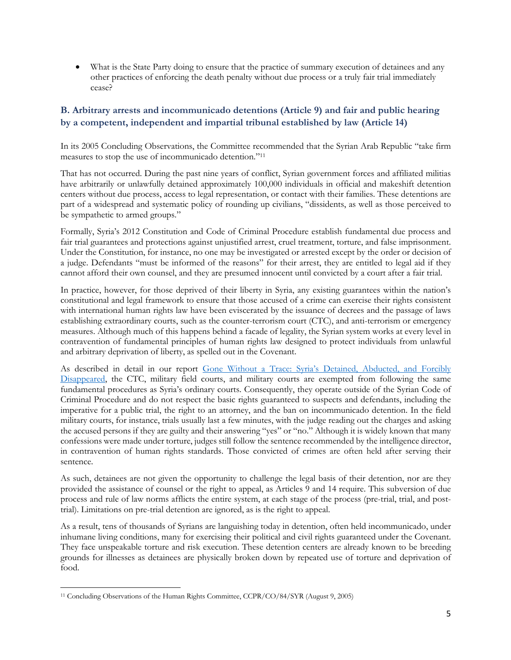• What is the State Party doing to ensure that the practice of summary execution of detainees and any other practices of enforcing the death penalty without due process or a truly fair trial immediately cease?

# **B. Arbitrary arrests and incommunicado detentions (Article 9) and fair and public hearing by a competent, independent and impartial tribunal established by law (Article 14)**

In its 2005 Concluding Observations, the Committee recommended that the Syrian Arab Republic "take firm measures to stop the use of incommunicado detention."11

That has not occurred. During the past nine years of conflict, Syrian government forces and affiliated militias have arbitrarily or unlawfully detained approximately 100,000 individuals in official and makeshift detention centers without due process, access to legal representation, or contact with their families. These detentions are part of a widespread and systematic policy of rounding up civilians, "dissidents, as well as those perceived to be sympathetic to armed groups."

Formally, Syria's 2012 Constitution and Code of Criminal Procedure establish fundamental due process and fair trial guarantees and protections against unjustified arrest, cruel treatment, torture, and false imprisonment. Under the Constitution, for instance, no one may be investigated or arrested except by the order or decision of a judge. Defendants "must be informed of the reasons" for their arrest, they are entitled to legal aid if they cannot afford their own counsel, and they are presumed innocent until convicted by a court after a fair trial.

In practice, however, for those deprived of their liberty in Syria, any existing guarantees within the nation's constitutional and legal framework to ensure that those accused of a crime can exercise their rights consistent with international human rights law have been eviscerated by the issuance of decrees and the passage of laws establishing extraordinary courts, such as the counter-terrorism court (CTC), and anti-terrorism or emergency measures. Although much of this happens behind a facade of legality, the Syrian system works at every level in contravention of fundamental principles of human rights law designed to protect individuals from unlawful and arbitrary deprivation of liberty, as spelled out in the Covenant.

As described in detail in our report Gone Without a Trace: Syria's Detained, Abducted, and Forcibly Disappeared, the CTC, military field courts, and military courts are exempted from following the same fundamental procedures as Syria's ordinary courts. Consequently, they operate outside of the Syrian Code of Criminal Procedure and do not respect the basic rights guaranteed to suspects and defendants, including the imperative for a public trial, the right to an attorney, and the ban on incommunicado detention. In the field military courts, for instance, trials usually last a few minutes, with the judge reading out the charges and asking the accused persons if they are guilty and their answering "yes" or "no." Although it is widely known that many confessions were made under torture, judges still follow the sentence recommended by the intelligence director, in contravention of human rights standards. Those convicted of crimes are often held after serving their sentence.

As such, detainees are not given the opportunity to challenge the legal basis of their detention, nor are they provided the assistance of counsel or the right to appeal, as Articles 9 and 14 require. This subversion of due process and rule of law norms afflicts the entire system, at each stage of the process (pre-trial, trial, and posttrial). Limitations on pre-trial detention are ignored, as is the right to appeal.

As a result, tens of thousands of Syrians are languishing today in detention, often held incommunicado, under inhumane living conditions, many for exercising their political and civil rights guaranteed under the Covenant. They face unspeakable torture and risk execution. These detention centers are already known to be breeding grounds for illnesses as detainees are physically broken down by repeated use of torture and deprivation of food.

<sup>11</sup> Concluding Observations of the Human Rights Committee, CCPR/CO/84/SYR (August 9, 2005)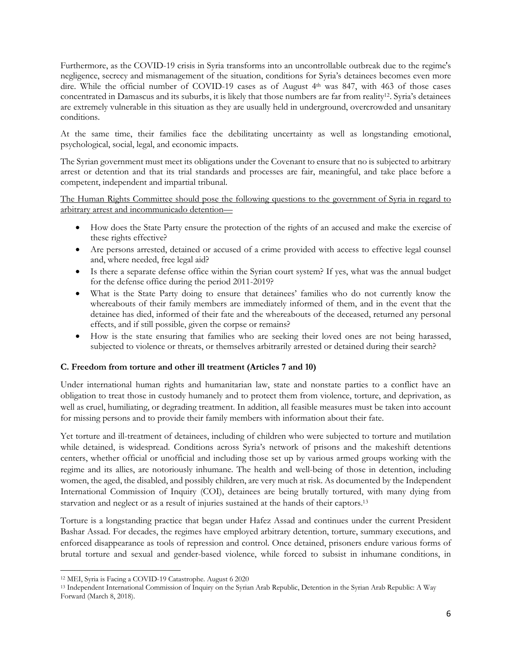Furthermore, as the COVID-19 crisis in Syria transforms into an uncontrollable outbreak due to the regime's negligence, secrecy and mismanagement of the situation, conditions for Syria's detainees becomes even more dire. While the official number of COVID-19 cases as of August 4<sup>th</sup> was 847, with 463 of those cases concentrated in Damascus and its suburbs, it is likely that those numbers are far from reality12. Syria's detainees are extremely vulnerable in this situation as they are usually held in underground, overcrowded and unsanitary conditions.

At the same time, their families face the debilitating uncertainty as well as longstanding emotional, psychological, social, legal, and economic impacts.

The Syrian government must meet its obligations under the Covenant to ensure that no is subjected to arbitrary arrest or detention and that its trial standards and processes are fair, meaningful, and take place before a competent, independent and impartial tribunal.

The Human Rights Committee should pose the following questions to the government of Syria in regard to arbitrary arrest and incommunicado detention—

- How does the State Party ensure the protection of the rights of an accused and make the exercise of these rights effective?
- Are persons arrested, detained or accused of a crime provided with access to effective legal counsel and, where needed, free legal aid?
- Is there a separate defense office within the Syrian court system? If yes, what was the annual budget for the defense office during the period 2011-2019?
- What is the State Party doing to ensure that detainees' families who do not currently know the whereabouts of their family members are immediately informed of them, and in the event that the detainee has died, informed of their fate and the whereabouts of the deceased, returned any personal effects, and if still possible, given the corpse or remains?
- How is the state ensuring that families who are seeking their loved ones are not being harassed, subjected to violence or threats, or themselves arbitrarily arrested or detained during their search?

## **C. Freedom from torture and other ill treatment (Articles 7 and 10)**

Under international human rights and humanitarian law, state and nonstate parties to a conflict have an obligation to treat those in custody humanely and to protect them from violence, torture, and deprivation, as well as cruel, humiliating, or degrading treatment. In addition, all feasible measures must be taken into account for missing persons and to provide their family members with information about their fate.

Yet torture and ill-treatment of detainees, including of children who were subjected to torture and mutilation while detained, is widespread. Conditions across Syria's network of prisons and the makeshift detentions centers, whether official or unofficial and including those set up by various armed groups working with the regime and its allies, are notoriously inhumane. The health and well-being of those in detention, including women, the aged, the disabled, and possibly children, are very much at risk. As documented by the Independent International Commission of Inquiry (COI), detainees are being brutally tortured, with many dying from starvation and neglect or as a result of injuries sustained at the hands of their captors.13

Torture is a longstanding practice that began under Hafez Assad and continues under the current President Bashar Assad. For decades, the regimes have employed arbitrary detention, torture, summary executions, and enforced disappearance as tools of repression and control. Once detained, prisoners endure various forms of brutal torture and sexual and gender-based violence, while forced to subsist in inhumane conditions, in

<sup>12</sup> MEI, Syria is Facing a COVID-19 Catastrophe. August 6 2020

<sup>13</sup> Independent International Commission of Inquiry on the Syrian Arab Republic, Detention in the Syrian Arab Republic: A Way Forward (March 8, 2018).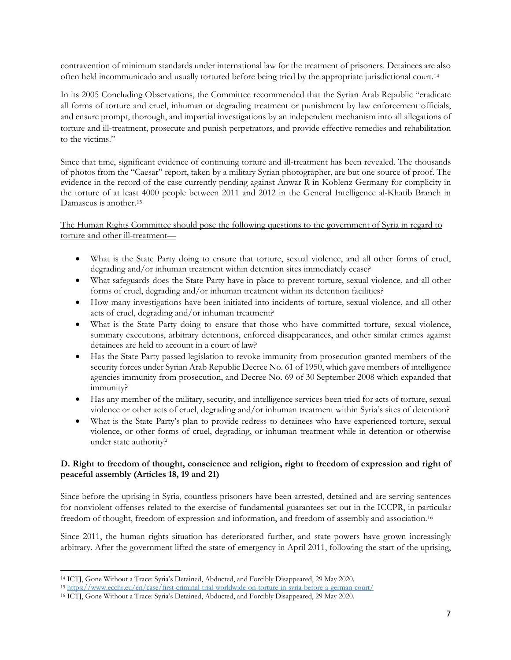contravention of minimum standards under international law for the treatment of prisoners. Detainees are also often held incommunicado and usually tortured before being tried by the appropriate jurisdictional court.14

In its 2005 Concluding Observations, the Committee recommended that the Syrian Arab Republic "eradicate all forms of torture and cruel, inhuman or degrading treatment or punishment by law enforcement officials, and ensure prompt, thorough, and impartial investigations by an independent mechanism into all allegations of torture and ill-treatment, prosecute and punish perpetrators, and provide effective remedies and rehabilitation to the victims."

Since that time, significant evidence of continuing torture and ill-treatment has been revealed. The thousands of photos from the "Caesar" report, taken by a military Syrian photographer, are but one source of proof. The evidence in the record of the case currently pending against Anwar R in Koblenz Germany for complicity in the torture of at least 4000 people between 2011 and 2012 in the General Intelligence al-Khatib Branch in Damascus is another.15

The Human Rights Committee should pose the following questions to the government of Syria in regard to torture and other ill-treatment—

- What is the State Party doing to ensure that torture, sexual violence, and all other forms of cruel, degrading and/or inhuman treatment within detention sites immediately cease?
- What safeguards does the State Party have in place to prevent torture, sexual violence, and all other forms of cruel, degrading and/or inhuman treatment within its detention facilities?
- How many investigations have been initiated into incidents of torture, sexual violence, and all other acts of cruel, degrading and/or inhuman treatment?
- What is the State Party doing to ensure that those who have committed torture, sexual violence, summary executions, arbitrary detentions, enforced disappearances, and other similar crimes against detainees are held to account in a court of law?
- Has the State Party passed legislation to revoke immunity from prosecution granted members of the security forces under Syrian Arab Republic Decree No. 61 of 1950, which gave members of intelligence agencies immunity from prosecution, and Decree No. 69 of 30 September 2008 which expanded that immunity?
- Has any member of the military, security, and intelligence services been tried for acts of torture, sexual violence or other acts of cruel, degrading and/or inhuman treatment within Syria's sites of detention?
- What is the State Party's plan to provide redress to detainees who have experienced torture, sexual violence, or other forms of cruel, degrading, or inhuman treatment while in detention or otherwise under state authority?

## **D. Right to freedom of thought, conscience and religion, right to freedom of expression and right of peaceful assembly (Articles 18, 19 and 21)**

Since before the uprising in Syria, countless prisoners have been arrested, detained and are serving sentences for nonviolent offenses related to the exercise of fundamental guarantees set out in the ICCPR, in particular freedom of thought, freedom of expression and information, and freedom of assembly and association.<sup>16</sup>

Since 2011, the human rights situation has deteriorated further, and state powers have grown increasingly arbitrary. After the government lifted the state of emergency in April 2011, following the start of the uprising,

<sup>14</sup> ICTJ, Gone Without a Trace: Syria's Detained, Abducted, and Forcibly Disappeared, 29 May 2020.

<sup>15</sup> https://www.ecchr.eu/en/case/first-criminal-trial-worldwide-on-torture-in-syria-before-a-german-court/

<sup>16</sup> ICTJ, Gone Without a Trace: Syria's Detained, Abducted, and Forcibly Disappeared, 29 May 2020.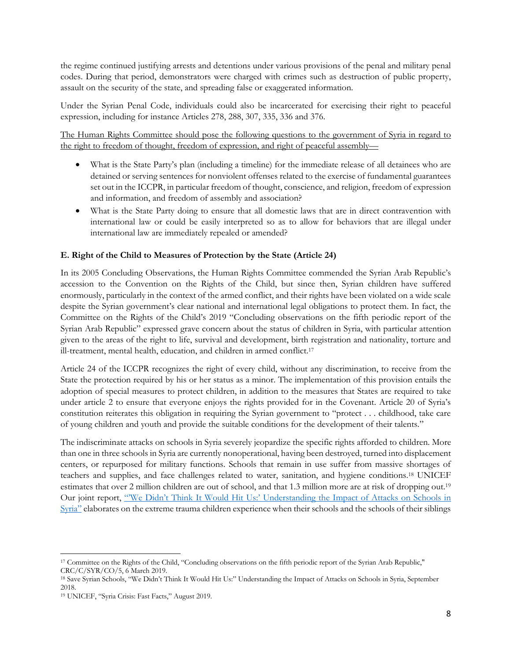the regime continued justifying arrests and detentions under various provisions of the penal and military penal codes. During that period, demonstrators were charged with crimes such as destruction of public property, assault on the security of the state, and spreading false or exaggerated information.

Under the Syrian Penal Code, individuals could also be incarcerated for exercising their right to peaceful expression, including for instance Articles 278, 288, 307, 335, 336 and 376.

The Human Rights Committee should pose the following questions to the government of Syria in regard to the right to freedom of thought, freedom of expression, and right of peaceful assembly—

- What is the State Party's plan (including a timeline) for the immediate release of all detainees who are detained or serving sentences for nonviolent offenses related to the exercise of fundamental guarantees set out in the ICCPR, in particular freedom of thought, conscience, and religion, freedom of expression and information, and freedom of assembly and association?
- What is the State Party doing to ensure that all domestic laws that are in direct contravention with international law or could be easily interpreted so as to allow for behaviors that are illegal under international law are immediately repealed or amended?

## **E. Right of the Child to Measures of Protection by the State (Article 24)**

In its 2005 Concluding Observations, the Human Rights Committee commended the Syrian Arab Republic's accession to the Convention on the Rights of the Child, but since then, Syrian children have suffered enormously, particularly in the context of the armed conflict, and their rights have been violated on a wide scale despite the Syrian government's clear national and international legal obligations to protect them. In fact, the Committee on the Rights of the Child's 2019 "Concluding observations on the fifth periodic report of the Syrian Arab Republic" expressed grave concern about the status of children in Syria, with particular attention given to the areas of the right to life, survival and development, birth registration and nationality, torture and ill-treatment, mental health, education, and children in armed conflict.<sup>17</sup>

Article 24 of the ICCPR recognizes the right of every child, without any discrimination, to receive from the State the protection required by his or her status as a minor. The implementation of this provision entails the adoption of special measures to protect children, in addition to the measures that States are required to take under article 2 to ensure that everyone enjoys the rights provided for in the Covenant. Article 20 of Syria's constitution reiterates this obligation in requiring the Syrian government to "protect . . . childhood, take care of young children and youth and provide the suitable conditions for the development of their talents."

The indiscriminate attacks on schools in Syria severely jeopardize the specific rights afforded to children. More than one in three schools in Syria are currently nonoperational, having been destroyed, turned into displacement centers, or repurposed for military functions. Schools that remain in use suffer from massive shortages of teachers and supplies, and face challenges related to water, sanitation, and hygiene conditions.18 UNICEF estimates that over 2 million children are out of school, and that 1.3 million more are at risk of dropping out.19 Our joint report, "'We Didn't Think It Would Hit Us:' Understanding the Impact of Attacks on Schools in Syria" elaborates on the extreme trauma children experience when their schools and the schools of their siblings

<sup>17</sup> Committee on the Rights of the Child, "Concluding observations on the fifth periodic report of the Syrian Arab Republic," CRC/C/SYR/CO/5, 6 March 2019.

<sup>18</sup> Save Syrian Schools, "We Didn't Think It Would Hit Us:" Understanding the Impact of Attacks on Schools in Syria, September 2018.

<sup>19</sup> UNICEF, "Syria Crisis: Fast Facts," August 2019.